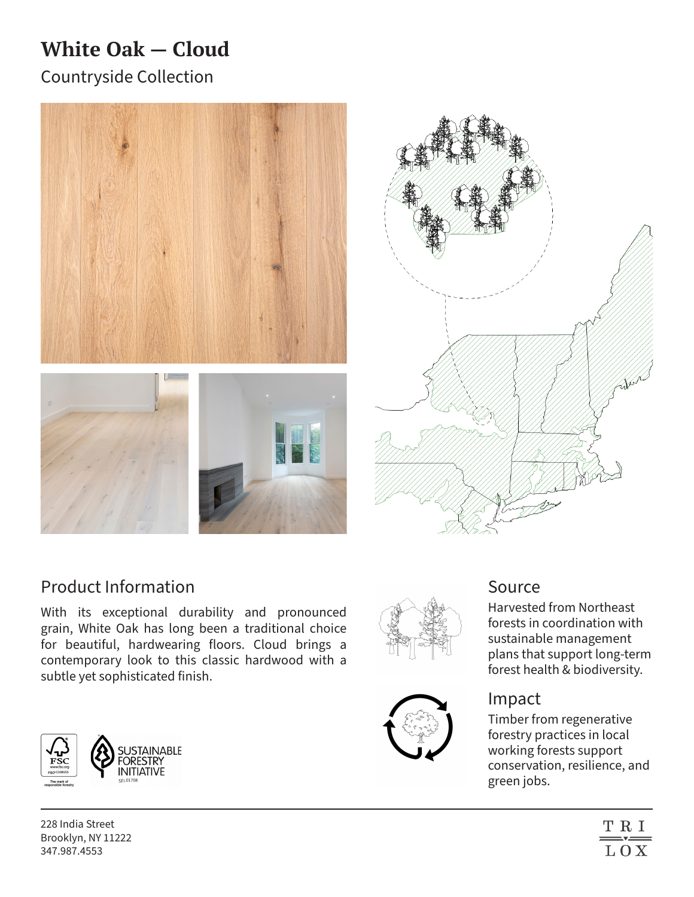# **White Oak — Cloud**

Countryside Collection





# Product Information

With its exceptional durability and pronounced grain, White Oak has long been a traditional choice for beautiful, hardwearing floors. Cloud brings a contemporary look to this classic hardwood with a subtle yet sophisticated finish.



228 India Street Brooklyn, NY 11222 347.987.4553





# Source

Harvested from Northeast forests in coordination with sustainable management plans that support long-term forest health & biodiversity.

## Impact

Timber from regenerative forestry practices in local working forests support conservation, resilience, and